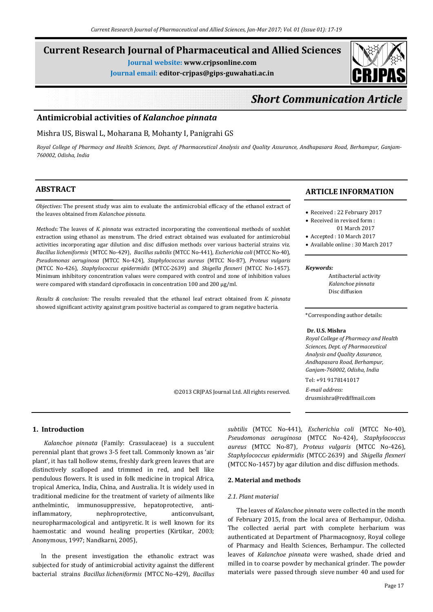## **Current Research Journal of Pharmaceutical and Allied Sciences**

**Journal website: www.crjpsonline.com**

**Journal email: editor-crjpas@gips-guwahati.ac.in**



# *Short Communication Article*

## **Antimicrobial activities of** *Kalanchoe pinnata*

#### Mishra US, Biswal L, Moharana B, Mohanty I, Panigrahi GS

Royal College of Pharmacy and Health Sciences, Dept. of Pharmaceutical Analysis and Quality Assurance, Andhapasara Road, Berhampur, Ganjam-*760002, Odisha, India*

## **ABSTRACT**

*Objectives:* The present study was aim to evaluate the antimicrobial efficacy of the ethanol extract of the leaves obtained from *Kalanchoe pinnata.*

*Methods:* The leaves of *K. pinnata* was extracted incorporating the conventional methods of soxhlet extraction using ethanol as menstrum. The dried extract obtained was evaluated for antimicrobial activities incorporating agar dilution and disc diffusion methods over various bacterial strains viz. *Bacillus licheniformis* (MTCC No-429), *Bacillus subtilis* (MTCC No-441), *Escherichia coli* (MTCC No-40), *Pseudomonas aeruginosa* (MTCC No-424), *Staphylococcus aureus* (MTCC No-87), *Proteus vulgaris* (MTCC No-426), *Staphylococcus epidermidis* (MTCC-2639) and *Shigella flexneri* (MTCC No-1457). Minimum inhibitory concentration values were compared with control and zone of inhibition values were compared with standard ciprofloxacin in concentration 100 and 200 µg/ml.

*Results & conclusion:* The results revealed that the ethanol leaf extract obtained from *K. pinnata* showed significant activity against gram positive bacterial as compared to gram negative bacteria.

#### **ARTICLE INFORMATION**

- Received : 22 February 2017
- Received in revised form : 01 March 2017
- Accepted : 10 March 2017
- Available online : 30 March 2017

#### *Keywords:*

 Antibacterial activity *Kalanchoe pinnata* Disc diffusion

\*Corresponding author details:

#### **Dr. U.S. Mishra**

*Royal College of Pharmacy and Health Sciences, Dept. of Pharmaceutical Analysis and Quality Assurance, Andhapasara Road, Berhampur, Ganjam-760002, Odisha, India* Tel: +91 9178141017

*E-mail address:* drusmishra@rediffmail.com

**1. Introduction**

 *Kalanchoe pinnata* (Family: Crassulaceae) is a succulent perennial plant that grows 3-5 feet tall. Commonly known as 'air plant', it has tall hollow stems, freshly dark green leaves that are distinctively scalloped and trimmed in red, and bell like pendulous flowers. It is used in folk medicine in tropical Africa, tropical America, India, China, and Australia. It is widely used in traditional medicine for the treatment of variety of ailments like anthelmintic, immunosuppressive, hepatoprotective, antiinflammatory, nephroprotective, anticonvulsant, neuropharmacological and antipyretic. It is well known for its haemostatic and wound healing properties (Kirtikar, 2003; Anonymous, 1997; Nandkarni, 2005),

 In the present investigation the ethanolic extract was subjected for study of antimicrobial activity against the different bacterial strains *Bacillus licheniformis* (MTCC No-429), *Bacillus* *subtilis* (MTCC No-441), *Escherichia coli* (MTCC No-40), *Pseudomonas aeruginosa* (MTCC No-424), *Staphylococcus aureus* (MTCC No-87), *Proteus vulgaris* (MTCC No-426), *Staphylococcus epidermidis* (MTCC-2639) and *Shigella flexneri* (MTCC No-1457) by agar dilution and disc diffusion methods.

#### **2. Material and methods**

#### *2.1. Plant material*

©2013 CRJPAS Journal Ltd. All rights reserved.

 The leaves of *Kalanchoe pinnata* were collected in the month of February 2015, from the local area of Berhampur, Odisha. The collected aerial part with complete herbarium was authenticated at Department of Pharmacognosy, Royal college of Pharmacy and Health Sciences, Berhampur. The collected leaves of *Kalanchoe pinnata* were washed, shade dried and milled in to coarse powder by mechanical grinder. The powder materials were passed through sieve number 40 and used for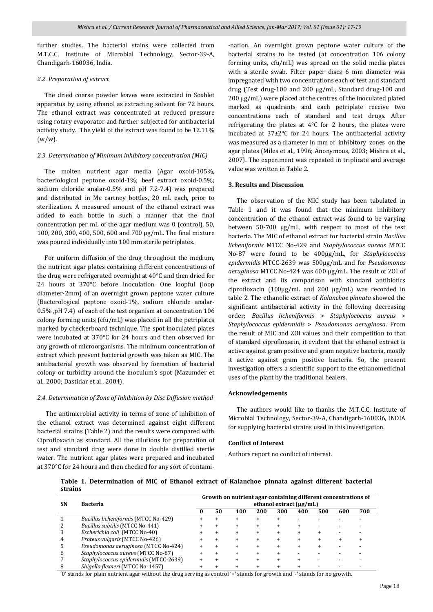further studies. The bacterial stains were collected from M.T.C.C, Institute of Microbial Technology, Sector-39-A, Chandigarh-160036, India.

#### *2.2. Preparation of extract*

 The dried coarse powder leaves were extracted in Soxhlet apparatus by using ethanol as extracting solvent for 72 hours. The ethanol extract was concentrated at reduced pressure using rotary evaporator and further subjected for antibacterial activity study. The yield of the extract was found to be 12.11%  $(w/w)$ .

#### *2.3. Determination of Minimum inhibitory concentration (MIC)*

 The molten nutrient agar media (Agar oxoid-105%, bacteriological peptone oxoid-1%; beef extract oxoid-0.5%; sodium chloride analar-0.5% and pH 7.2-7.4) was prepared and distributed in Mc cartney bottles, 20 mL each, prior to sterilization. A measured amount of the ethanol extract was added to each bottle in such a manner that the final concentration per mL of the agar medium was 0 (control), 50, 100, 200, 300, 400, 500, 600 and 700 µg/mL. The final mixture was poured individually into 100 mm sterile petriplates.

 For uniform diffusion of the drug throughout the medium, the nutrient agar plates containing different concentrations of the drug were refrigerated overnight at 40°C and then dried for 24 hours at 370°C before inoculation. One loopful (loop diameter-2mm) of an overnight grown peptone water culture (Bacterological peptone oxoid-1%, sodium chloride analar-0.5% ,pH 7.4) of each of the test organism at concentration 106 colony forming units (cfu/mL) was placed in all the petriplates marked by checkerboard technique. The spot inoculated plates were incubated at 370°C for 24 hours and then observed for any growth of microorganisms. The minimum concentration of extract which prevent bacterial growth was taken as MIC. The antibacterial growth was observed by formation of bacterial colony or turbidity around the inoculum's spot (Mazumder et al., 2000; Dastidar et al., 2004).

### *2.4. Determination of Zone of Inhibition by Disc Diffusion method*

The antimicrobial activity in terms of zone of inhibition of the ethanol extract was determined against eight different bacterial strains (Table 2) and the results were compared with Ciprofloxacin as standard. All the dilutions for preparation of test and standard drug were done in double distilled sterile water. The nutrient agar plates were prepared and incubated at 370°C for 24 hours and then checked for any sort of contami-nation. An overnight grown peptone water culture of the bacterial strains to be tested (at concentration 106 colony forming units, cfu/mL) was spread on the solid media plates with a sterile swab. Filter paper discs 6 mm diameter was impregnated with two concentrations each of test and standard drug (Test drug-100 and 200 µg/mL, Standard drug-100 and 200 µg/mL) were placed at the centres of the inoculated plated marked as quadrants and each petriplate receive two concentrations each of standard and test drugs. After refrigerating the plates at 4°C for 2 hours, the plates were incubated at 37±2°C for 24 hours. The antibacterial activity was measured as a diameter in mm of inhibitory zones on the agar plates (Miles et al., 1996; Anonymous, 2003; Mishra et al., 2007). The experiment was repeated in triplicate and average value was written in Table 2.

#### **3. Results and Discussion**

 The observation of the MIC study has been tabulated in Table 1 and it was found that the minimum inhibitory concentration of the ethanol extract was found to be varying between 50-700 µg/mL, with respect to most of the test bacteria. The MIC of ethanol extract for bacterial strain *Bacillus licheniformis* MTCC No-429 and *Staphylococcus aureus* MTCC No-87 were found to be 400µg/mL, for *Staphylococcus epidermidis* MTCC-2639 was 500µg/mL and for *Pseudomonas aeruginosa* MTCC No-424 was 600 µg/mL. The result of ZOI of the extract and its comparison with standard antibiotics ciprofloxacin (100µg/mL and 200 µg/mL) was recorded in table 2. The ethanolic extract of *Kalanchoe pinnata* showed the significant antibacterial activity in the following decreasing order; *Bacillus licheniformis* > *Staphylococcus aureus* > *Staphylococcus epidermidis* > *Pseudomonas aeruginosa*. From the result of MIC and ZOI values and their competition to that of standard ciprofloxacin, it evident that the ethanol extract is active against gram positive and gram negative bacteria, mostly it active against gram positive bacteria. So, the present investigation offers a scientific support to the ethanomedicinal uses of the plant by the traditional healers.

#### **Acknowledgements**

 The authors would like to thanks the M.T.C.C, Institute of Microbial Technology, Sector-39-A, Chandigarh-160036, INDIA for supplying bacterial strains used in this investigation.

#### **Conflict of Interest**

Authors report no conflict of interest.

**Table 1. Determination of MIC of Ethanol extract of Kalanchoe pinnata against different bacterial strains**

| <b>SN</b> | <b>Bacteria</b>                        | Growth on nutrient agar containing different concentrations of<br>ethanol extract $(\mu g/mL)$ |    |     |     |     |     |     |     |     |
|-----------|----------------------------------------|------------------------------------------------------------------------------------------------|----|-----|-----|-----|-----|-----|-----|-----|
|           |                                        |                                                                                                | 50 | 100 | 200 | 300 | 400 | 500 | 600 | 700 |
|           | Bacillus licheniformis (MTCC No-429)   |                                                                                                |    |     |     |     |     |     |     |     |
|           | Bacillus subtilis (MTCC No-441)        |                                                                                                |    |     |     |     |     |     |     |     |
|           | Escherichia coli (MTCC No-40)          |                                                                                                |    |     |     |     |     |     |     |     |
|           | Proteus vulgaris (MTCC No-426)         |                                                                                                |    |     |     |     |     |     |     |     |
|           | Pseudomonas aeruginosa (MTCC No-424)   |                                                                                                |    |     |     |     |     |     |     |     |
|           | Staphylococcus aureus (MTCC No-87)     |                                                                                                |    |     |     |     |     |     |     |     |
|           | Staphylococcus epidermidis (MTCC-2639) |                                                                                                |    |     |     |     |     |     |     |     |
|           | Shigella flexneri (MTCC No-1457)       |                                                                                                |    |     |     |     |     |     |     |     |

'0' stands for plain nutrient agar without the drug serving as control '+' stands for growth and '-' stands for no growth.